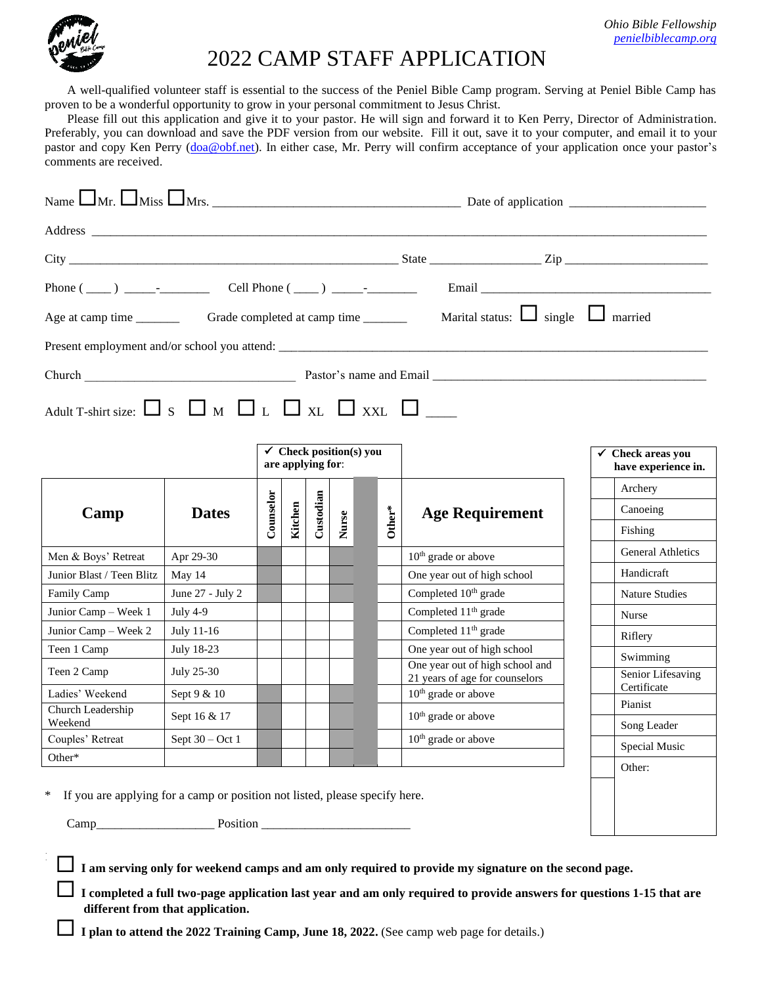

## 2022 CAMP STAFF APPLICATION

A well-qualified volunteer staff is essential to the success of the Peniel Bible Camp program. Serving at Peniel Bible Camp has proven to be a wonderful opportunity to grow in your personal commitment to Jesus Christ.

Please fill out this application and give it to your pastor. He will sign and forward it to Ken Perry, Director of Administration. Preferably, you can download and save the PDF version from our website. Fill it out, save it to your computer, and email it to your pastor and copy Ken Perry [\(doa@obf.net\)](mailto:doa@obf.net). In either case, Mr. Perry will confirm acceptance of your application once your pastor's comments are received.

| Email and the contract of the contract of the contract of the contract of the contract of the contract of the contract of the contract of the contract of the contract of the contract of the contract of the contract of the |                   |                                                         |         |           |       |  |        |                                                                   |  |                                                     |
|-------------------------------------------------------------------------------------------------------------------------------------------------------------------------------------------------------------------------------|-------------------|---------------------------------------------------------|---------|-----------|-------|--|--------|-------------------------------------------------------------------|--|-----------------------------------------------------|
| Marital status: $\Box$ single $\Box$ married                                                                                                                                                                                  |                   |                                                         |         |           |       |  |        |                                                                   |  |                                                     |
|                                                                                                                                                                                                                               |                   |                                                         |         |           |       |  |        |                                                                   |  |                                                     |
|                                                                                                                                                                                                                               |                   |                                                         |         |           |       |  |        |                                                                   |  |                                                     |
| Adult T-shirt size: $\Box$ S $\Box$ M $\Box$ L $\Box$ XL $\Box$ XXL $\Box$                                                                                                                                                    |                   |                                                         |         |           |       |  |        |                                                                   |  |                                                     |
|                                                                                                                                                                                                                               |                   | $\checkmark$ Check position(s) you<br>are applying for: |         |           |       |  |        |                                                                   |  | $\checkmark$ Check areas you<br>have experience in. |
| Camp                                                                                                                                                                                                                          | <b>Dates</b>      | Counselor                                               |         |           | Nurse |  |        | <b>Age Requirement</b>                                            |  | Archery                                             |
|                                                                                                                                                                                                                               |                   |                                                         |         | Custodian |       |  |        |                                                                   |  | Canoeing                                            |
|                                                                                                                                                                                                                               |                   |                                                         | Kitchen |           |       |  | Other* |                                                                   |  | Fishing                                             |
| Men & Boys' Retreat                                                                                                                                                                                                           | Apr 29-30         |                                                         |         |           |       |  |        | $10th$ grade or above                                             |  | <b>General Athletics</b>                            |
| Junior Blast / Teen Blitz                                                                                                                                                                                                     | May 14            |                                                         |         |           |       |  |        | One year out of high school                                       |  | Handicraft                                          |
| Family Camp                                                                                                                                                                                                                   | June 27 - July 2  |                                                         |         |           |       |  |        | Completed 10 <sup>th</sup> grade                                  |  | <b>Nature Studies</b>                               |
| Junior Camp - Week 1                                                                                                                                                                                                          | July 4-9          |                                                         |         |           |       |  |        | Completed 11 <sup>th</sup> grade                                  |  | Nurse                                               |
| Junior Camp - Week 2                                                                                                                                                                                                          | July 11-16        |                                                         |         |           |       |  |        | Completed 11 <sup>th</sup> grade                                  |  | Riflery                                             |
| Teen 1 Camp                                                                                                                                                                                                                   | July 18-23        |                                                         |         |           |       |  |        | One year out of high school                                       |  | Swimming                                            |
| Teen 2 Camp                                                                                                                                                                                                                   | July 25-30        |                                                         |         |           |       |  |        | One year out of high school and<br>21 years of age for counselors |  | Senior Lifesaving                                   |
| Ladies' Weekend                                                                                                                                                                                                               | Sept 9 & 10       |                                                         |         |           |       |  |        | 10 <sup>th</sup> grade or above                                   |  | Certificate                                         |
| Church Leadership<br>Weekend                                                                                                                                                                                                  | Sept 16 & 17      |                                                         |         |           |       |  |        | 10 <sup>th</sup> grade or above                                   |  | Pianist<br>Song Leader                              |
| Couples' Retreat                                                                                                                                                                                                              | Sept $30 - Oct$ 1 |                                                         |         |           |       |  |        | 10 <sup>th</sup> grade or above                                   |  | Special Music                                       |
| Other*                                                                                                                                                                                                                        |                   |                                                         |         |           |       |  |        |                                                                   |  |                                                     |
| $\ast$<br>If you are applying for a camp or position not listed, please specify here.<br>Camp                                                                                                                                 | Position          |                                                         |         |           |       |  |        |                                                                   |  | Other:                                              |

**<sup>I</sup> am serving only for weekend camps and am only required to provide my signature on the second page.** 

 **I completed a full two-page application last year and am only required to provide answers for questions 1-15 that are different from that application.** 

**I plan to attend the 2022 Training Camp, June 18, 2022.** (See camp web page for details.)